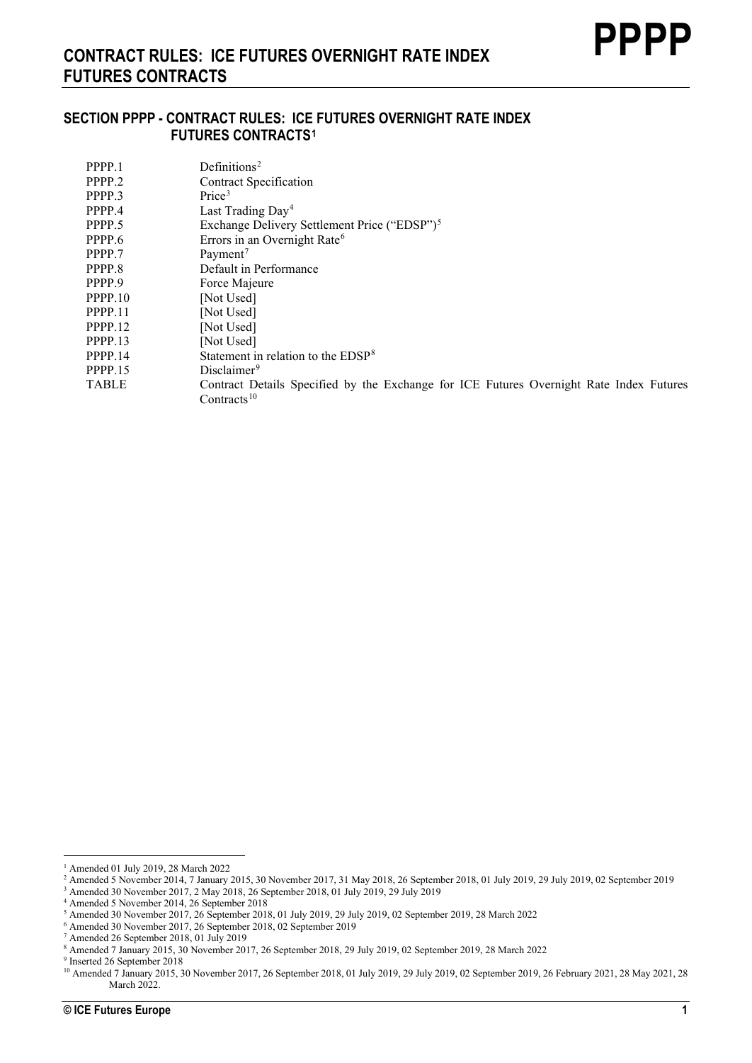# **SECTION PPPP - CONTRACT RULES: ICE FUTURES OVERNIGHT RATE INDEX FUTURES CONTRACTS[1](#page-0-0)**

| PPPP.1       | Definitions <sup>2</sup>                                                                |
|--------------|-----------------------------------------------------------------------------------------|
| PPPP.2       | <b>Contract Specification</b>                                                           |
| PPPP.3       | Price <sup>3</sup>                                                                      |
| PPPP.4       | Last Trading Day <sup>4</sup>                                                           |
| PPPP.5       | Exchange Delivery Settlement Price ("EDSP") <sup>5</sup>                                |
| PPPP.6       | Errors in an Overnight Rate <sup>6</sup>                                                |
| PPPP.7       | Payment <sup>7</sup>                                                                    |
| PPPP.8       | Default in Performance                                                                  |
| PPPP.9       | Force Majeure                                                                           |
| PPPP.10      | [Not Used]                                                                              |
| PPPP.11      | [Not Used]                                                                              |
| PPPP.12      | [Not Used]                                                                              |
| PPPP.13      | [Not Used]                                                                              |
| PPPP.14      | Statement in relation to the EDSP <sup>8</sup>                                          |
| PPPP.15      | Disclaimer <sup>9</sup>                                                                 |
| <b>TABLE</b> | Contract Details Specified by the Exchange for ICE Futures Overnight Rate Index Futures |
|              | Contracts <sup>10</sup>                                                                 |

<span id="page-0-0"></span><sup>1</sup> Amended 01 July 2019, 28 March 2022

<span id="page-0-1"></span><sup>&</sup>lt;sup>2</sup> Amended 5 November 2014, 7 January 2015, 30 November 2017, 31 May 2018, 26 September 2018, 01 July 2019, 29 July 2019, 02 September 2019

<sup>3</sup> Amended 30 November 2017, 2 May 2018, 26 September 2018, 01 July 2019, 29 July 2019

<span id="page-0-4"></span><span id="page-0-3"></span><span id="page-0-2"></span><sup>4</sup> Amended 5 November 2014, 26 September 2018

<sup>5</sup> Amended 30 November 2017, 26 September 2018, 01 July 2019, 29 July 2019, 02 September 2019, 28 March 2022

<sup>6</sup> Amended 30 November 2017, 26 September 2018, 02 September 2019

<span id="page-0-6"></span><span id="page-0-5"></span><sup>7</sup> Amended 26 September 2018, 01 July 2019

<sup>8</sup> Amended 7 January 2015, 30 November 2017, 26 September 2018, 29 July 2019, 02 September 2019, 28 March 2022

<span id="page-0-8"></span><span id="page-0-7"></span><sup>9</sup> Inserted 26 September 2018

<span id="page-0-9"></span><sup>&</sup>lt;sup>10</sup> Amended 7 January 2015, 30 November 2017, 26 September 2018, 01 July 2019, 29 July 2019, 02 September 2019, 26 February 2021, 28 May 2021, 28 March 2022.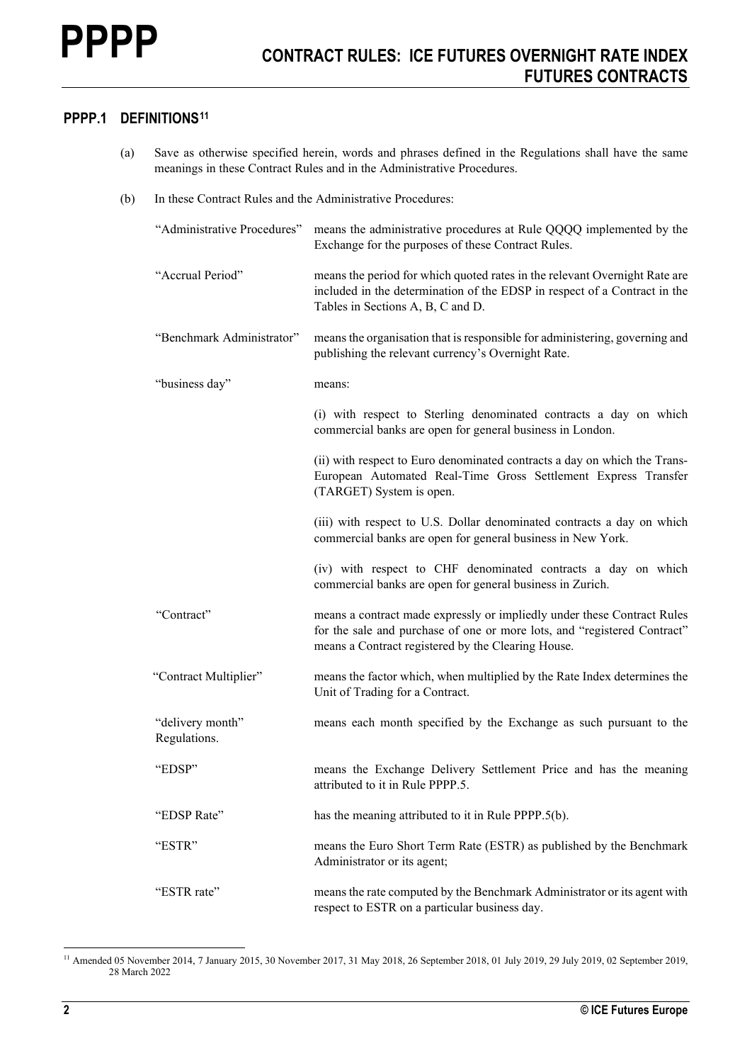# **PPPP.1 DEFINITIONS[11](#page-1-0)**

- (a) Save as otherwise specified herein, words and phrases defined in the Regulations shall have the same meanings in these Contract Rules and in the Administrative Procedures.
- (b) In these Contract Rules and the Administrative Procedures:

| "Administrative Procedures"      | means the administrative procedures at Rule QQQQ implemented by the<br>Exchange for the purposes of these Contract Rules.                                                                                 |
|----------------------------------|-----------------------------------------------------------------------------------------------------------------------------------------------------------------------------------------------------------|
| "Accrual Period"                 | means the period for which quoted rates in the relevant Overnight Rate are<br>included in the determination of the EDSP in respect of a Contract in the<br>Tables in Sections A, B, C and D.              |
| "Benchmark Administrator"        | means the organisation that is responsible for administering, governing and<br>publishing the relevant currency's Overnight Rate.                                                                         |
| "business day"                   | means:                                                                                                                                                                                                    |
|                                  | (i) with respect to Sterling denominated contracts a day on which<br>commercial banks are open for general business in London.                                                                            |
|                                  | (ii) with respect to Euro denominated contracts a day on which the Trans-<br>European Automated Real-Time Gross Settlement Express Transfer<br>(TARGET) System is open.                                   |
|                                  | (iii) with respect to U.S. Dollar denominated contracts a day on which<br>commercial banks are open for general business in New York.                                                                     |
|                                  | (iv) with respect to CHF denominated contracts a day on which<br>commercial banks are open for general business in Zurich.                                                                                |
| "Contract"                       | means a contract made expressly or impliedly under these Contract Rules<br>for the sale and purchase of one or more lots, and "registered Contract"<br>means a Contract registered by the Clearing House. |
| "Contract Multiplier"            | means the factor which, when multiplied by the Rate Index determines the<br>Unit of Trading for a Contract.                                                                                               |
| "delivery month"<br>Regulations. | means each month specified by the Exchange as such pursuant to the                                                                                                                                        |
| "EDSP"                           | means the Exchange Delivery Settlement Price and has the meaning<br>attributed to it in Rule PPPP.5.                                                                                                      |
| "EDSP Rate"                      | has the meaning attributed to it in Rule PPPP.5(b).                                                                                                                                                       |
| "ESTR"                           | means the Euro Short Term Rate (ESTR) as published by the Benchmark<br>Administrator or its agent;                                                                                                        |
| "ESTR rate"                      | means the rate computed by the Benchmark Administrator or its agent with<br>respect to ESTR on a particular business day.                                                                                 |

<span id="page-1-0"></span><sup>&</sup>lt;sup>11</sup> Amended 05 November 2014, 7 January 2015, 30 November 2017, 31 May 2018, 26 September 2018, 01 July 2019, 29 July 2019, 02 September 2019, 28 March 2022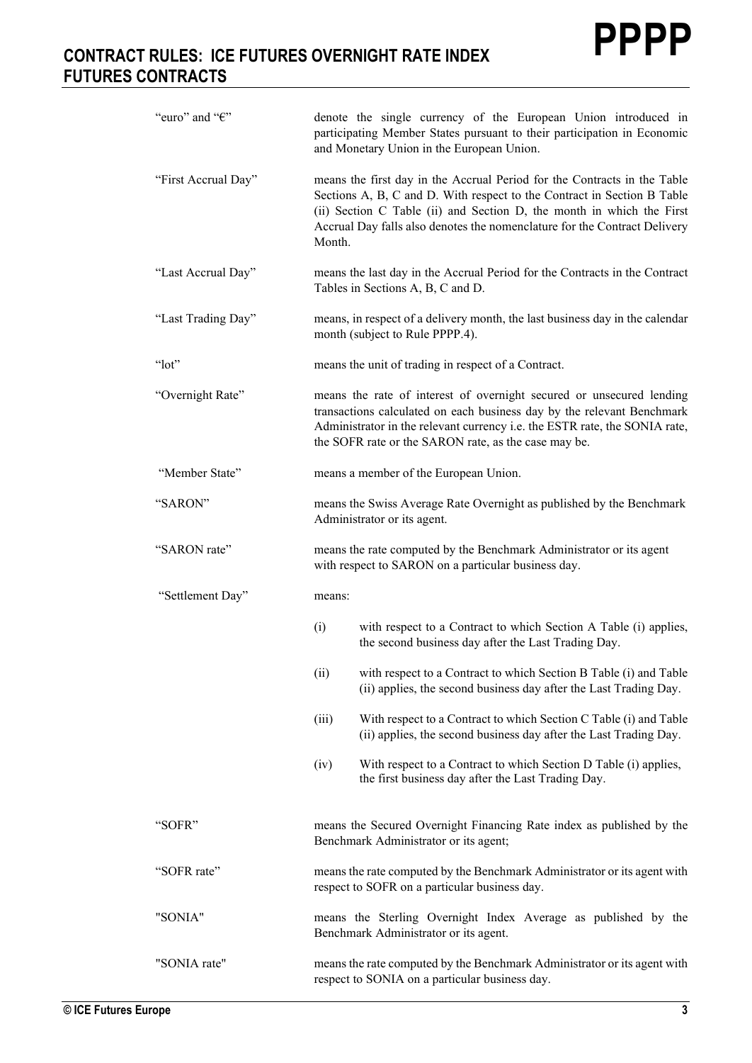| "euro" and "€"      | denote the single currency of the European Union introduced in<br>participating Member States pursuant to their participation in Economic<br>and Monetary Union in the European Union.                                                                                                                              |
|---------------------|---------------------------------------------------------------------------------------------------------------------------------------------------------------------------------------------------------------------------------------------------------------------------------------------------------------------|
| "First Accrual Day" | means the first day in the Accrual Period for the Contracts in the Table<br>Sections A, B, C and D. With respect to the Contract in Section B Table<br>(ii) Section C Table (ii) and Section D, the month in which the First<br>Accrual Day falls also denotes the nomenclature for the Contract Delivery<br>Month. |
| "Last Accrual Day"  | means the last day in the Accrual Period for the Contracts in the Contract<br>Tables in Sections A, B, C and D.                                                                                                                                                                                                     |
| "Last Trading Day"  | means, in respect of a delivery month, the last business day in the calendar<br>month (subject to Rule PPPP.4).                                                                                                                                                                                                     |
| " $lot"$            | means the unit of trading in respect of a Contract.                                                                                                                                                                                                                                                                 |
| "Overnight Rate"    | means the rate of interest of overnight secured or unsecured lending<br>transactions calculated on each business day by the relevant Benchmark<br>Administrator in the relevant currency i.e. the ESTR rate, the SONIA rate,<br>the SOFR rate or the SARON rate, as the case may be.                                |
| "Member State"      | means a member of the European Union.                                                                                                                                                                                                                                                                               |
| "SARON"             | means the Swiss Average Rate Overnight as published by the Benchmark<br>Administrator or its agent.                                                                                                                                                                                                                 |
| "SARON rate"        | means the rate computed by the Benchmark Administrator or its agent<br>with respect to SARON on a particular business day.                                                                                                                                                                                          |
| "Settlement Day"    | means:                                                                                                                                                                                                                                                                                                              |
|                     | (i)<br>with respect to a Contract to which Section A Table (i) applies,<br>the second business day after the Last Trading Day.                                                                                                                                                                                      |
|                     | with respect to a Contract to which Section B Table (i) and Table<br>(ii)<br>(ii) applies, the second business day after the Last Trading Day.                                                                                                                                                                      |
|                     | (iii)<br>With respect to a Contract to which Section C Table (i) and Table<br>(ii) applies, the second business day after the Last Trading Day.                                                                                                                                                                     |
|                     | With respect to a Contract to which Section D Table (i) applies,<br>(iv)<br>the first business day after the Last Trading Day.                                                                                                                                                                                      |
| "SOFR"              | means the Secured Overnight Financing Rate index as published by the<br>Benchmark Administrator or its agent;                                                                                                                                                                                                       |
| "SOFR rate"         | means the rate computed by the Benchmark Administrator or its agent with<br>respect to SOFR on a particular business day.                                                                                                                                                                                           |
| "SONIA"             | means the Sterling Overnight Index Average as published by the<br>Benchmark Administrator or its agent.                                                                                                                                                                                                             |
| "SONIA rate"        | means the rate computed by the Benchmark Administrator or its agent with<br>respect to SONIA on a particular business day.                                                                                                                                                                                          |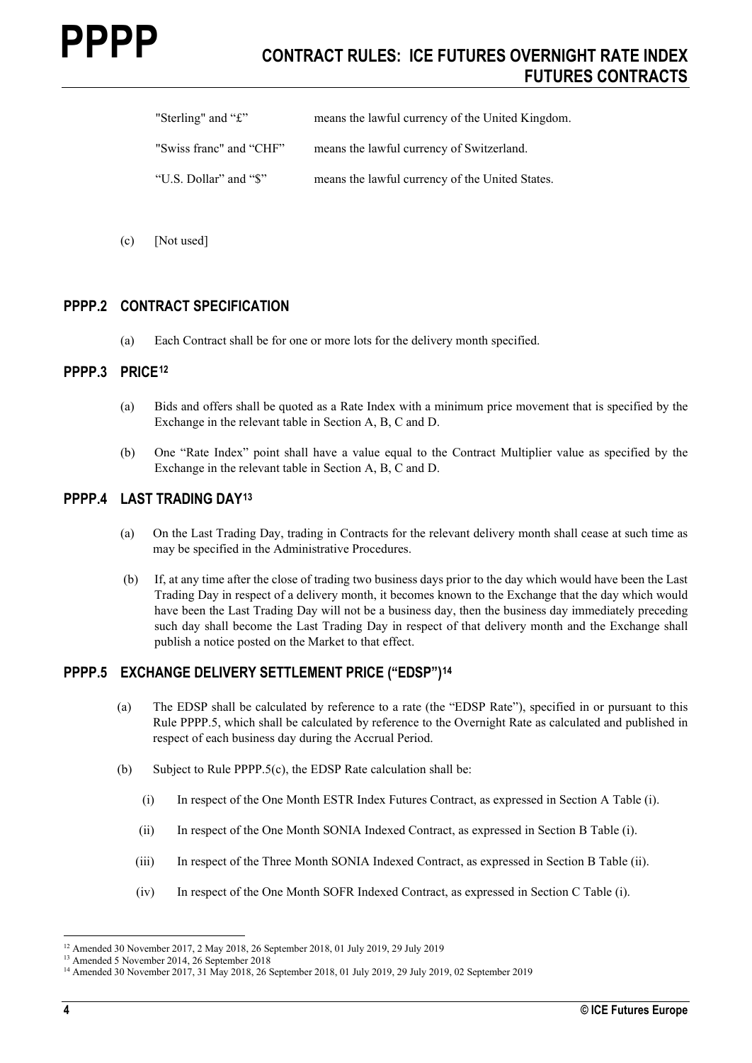| "Sterling" and " $\mathbf{\hat{E}}$ " | means the lawful currency of the United Kingdom. |
|---------------------------------------|--------------------------------------------------|
| "Swiss franc" and "CHF"               | means the lawful currency of Switzerland.        |

"U.S. Dollar" and "\$" means the lawful currency of the United States.

(c) [Not used]

# **PPPP.2 CONTRACT SPECIFICATION**

(a) Each Contract shall be for one or more lots for the delivery month specified.

#### **PPPP.3 PRICE[12](#page-3-0)**

- (a) Bids and offers shall be quoted as a Rate Index with a minimum price movement that is specified by the Exchange in the relevant table in Section A, B, C and D.
- (b) One "Rate Index" point shall have a value equal to the Contract Multiplier value as specified by the Exchange in the relevant table in Section A, B, C and D.

# **PPPP.4 LAST TRADING DAY[13](#page-3-1)**

- (a) On the Last Trading Day, trading in Contracts for the relevant delivery month shall cease at such time as may be specified in the Administrative Procedures.
- (b) If, at any time after the close of trading two business days prior to the day which would have been the Last Trading Day in respect of a delivery month, it becomes known to the Exchange that the day which would have been the Last Trading Day will not be a business day, then the business day immediately preceding such day shall become the Last Trading Day in respect of that delivery month and the Exchange shall publish a notice posted on the Market to that effect.

# **PPPP.5 EXCHANGE DELIVERY SETTLEMENT PRICE ("EDSP")[14](#page-3-2)**

- (a) The EDSP shall be calculated by reference to a rate (the "EDSP Rate"), specified in or pursuant to this Rule PPPP.5, which shall be calculated by reference to the Overnight Rate as calculated and published in respect of each business day during the Accrual Period.
- (b) Subject to Rule PPPP.5(c), the EDSP Rate calculation shall be:
	- (i) In respect of the One Month ESTR Index Futures Contract, as expressed in Section A Table (i).
	- (ii) In respect of the One Month SONIA Indexed Contract, as expressed in Section B Table (i).
	- (iii) In respect of the Three Month SONIA Indexed Contract, as expressed in Section B Table (ii).
	- (iv) In respect of the One Month SOFR Indexed Contract, as expressed in Section C Table (i).

<span id="page-3-0"></span><sup>12</sup> Amended 30 November 2017, 2 May 2018, 26 September 2018, 01 July 2019, 29 July 2019

<span id="page-3-1"></span><sup>13</sup> Amended 5 November 2014, 26 September 2018

<span id="page-3-2"></span><sup>&</sup>lt;sup>14</sup> Amended 30 November 2017, 31 May 2018, 26 September 2018, 01 July 2019, 29 July 2019, 02 September 2019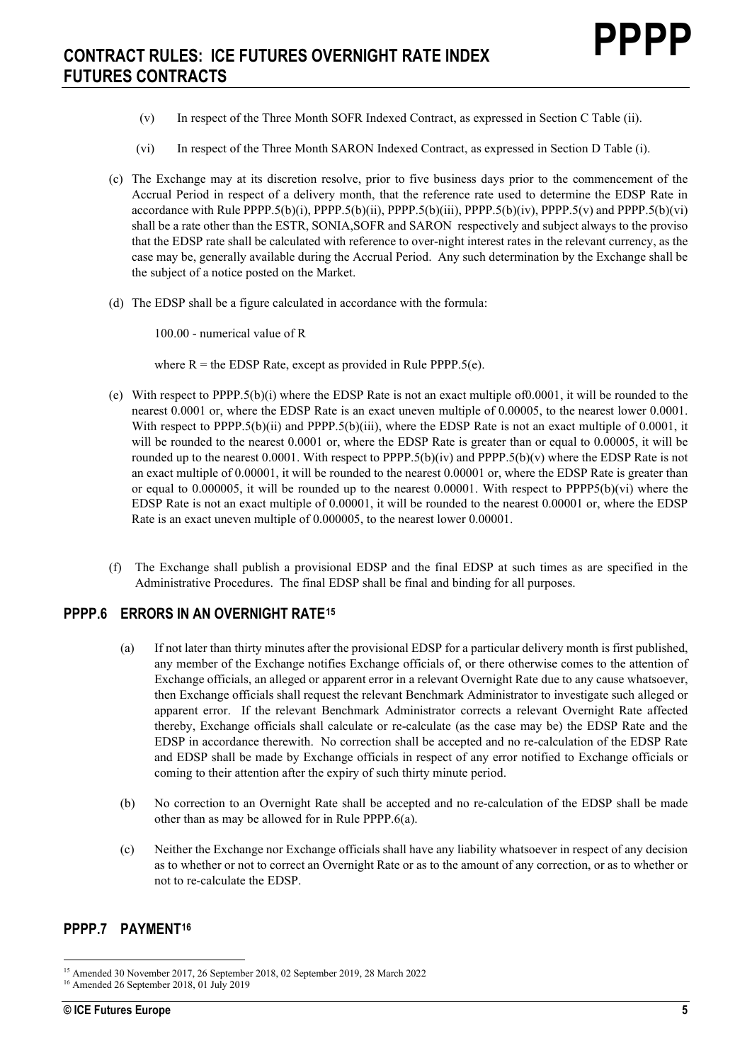- (v) In respect of the Three Month SOFR Indexed Contract, as expressed in Section C Table (ii).
- (vi) In respect of the Three Month SARON Indexed Contract, as expressed in Section D Table (i).
- (c) The Exchange may at its discretion resolve, prior to five business days prior to the commencement of the Accrual Period in respect of a delivery month, that the reference rate used to determine the EDSP Rate in accordance with Rule PPPP.5(b)(i), PPPP.5(b)(ii), PPPP.5(b)(iii), PPPP.5(b)(iv), PPPP.5(v) and PPPP.5(b)(vi) shall be a rate other than the ESTR, SONIA,SOFR and SARON respectively and subject always to the proviso that the EDSP rate shall be calculated with reference to over-night interest rates in the relevant currency, as the case may be, generally available during the Accrual Period. Any such determination by the Exchange shall be the subject of a notice posted on the Market.
- (d) The EDSP shall be a figure calculated in accordance with the formula:

100.00 - numerical value of R

where  $R =$  the EDSP Rate, except as provided in Rule PPPP.5(e).

- (e) With respect to PPPP.5(b)(i) where the EDSP Rate is not an exact multiple of0.0001, it will be rounded to the nearest 0.0001 or, where the EDSP Rate is an exact uneven multiple of 0.00005, to the nearest lower 0.0001. With respect to PPPP.5(b)(ii) and PPPP.5(b)(iii), where the EDSP Rate is not an exact multiple of 0.0001, it will be rounded to the nearest 0.0001 or, where the EDSP Rate is greater than or equal to 0.00005, it will be rounded up to the nearest 0.0001. With respect to PPPP.5(b)(iv) and PPPP.5(b)(v) where the EDSP Rate is not an exact multiple of 0.00001, it will be rounded to the nearest 0.00001 or, where the EDSP Rate is greater than or equal to 0.000005, it will be rounded up to the nearest  $0.00001$ . With respect to PPPP5(b)(vi) where the EDSP Rate is not an exact multiple of 0.00001, it will be rounded to the nearest 0.00001 or, where the EDSP Rate is an exact uneven multiple of 0.000005, to the nearest lower 0.00001.
- (f) The Exchange shall publish a provisional EDSP and the final EDSP at such times as are specified in the Administrative Procedures. The final EDSP shall be final and binding for all purposes.

#### **PPPP.6 ERRORS IN AN OVERNIGHT RATE[15](#page-4-0)**

- (a) If not later than thirty minutes after the provisional EDSP for a particular delivery month is first published, any member of the Exchange notifies Exchange officials of, or there otherwise comes to the attention of Exchange officials, an alleged or apparent error in a relevant Overnight Rate due to any cause whatsoever, then Exchange officials shall request the relevant Benchmark Administrator to investigate such alleged or apparent error. If the relevant Benchmark Administrator corrects a relevant Overnight Rate affected thereby, Exchange officials shall calculate or re-calculate (as the case may be) the EDSP Rate and the EDSP in accordance therewith. No correction shall be accepted and no re-calculation of the EDSP Rate and EDSP shall be made by Exchange officials in respect of any error notified to Exchange officials or coming to their attention after the expiry of such thirty minute period.
- (b) No correction to an Overnight Rate shall be accepted and no re-calculation of the EDSP shall be made other than as may be allowed for in Rule PPPP.6(a).
- (c) Neither the Exchange nor Exchange officials shall have any liability whatsoever in respect of any decision as to whether or not to correct an Overnight Rate or as to the amount of any correction, or as to whether or not to re-calculate the EDSP.

# **PPPP.7 PAYMENT[16](#page-4-1)**

<span id="page-4-0"></span><sup>15</sup> Amended 30 November 2017, 26 September 2018, 02 September 2019, 28 March 2022

<span id="page-4-1"></span><sup>&</sup>lt;sup>16</sup> Amended 26 September 2018, 01 July 2019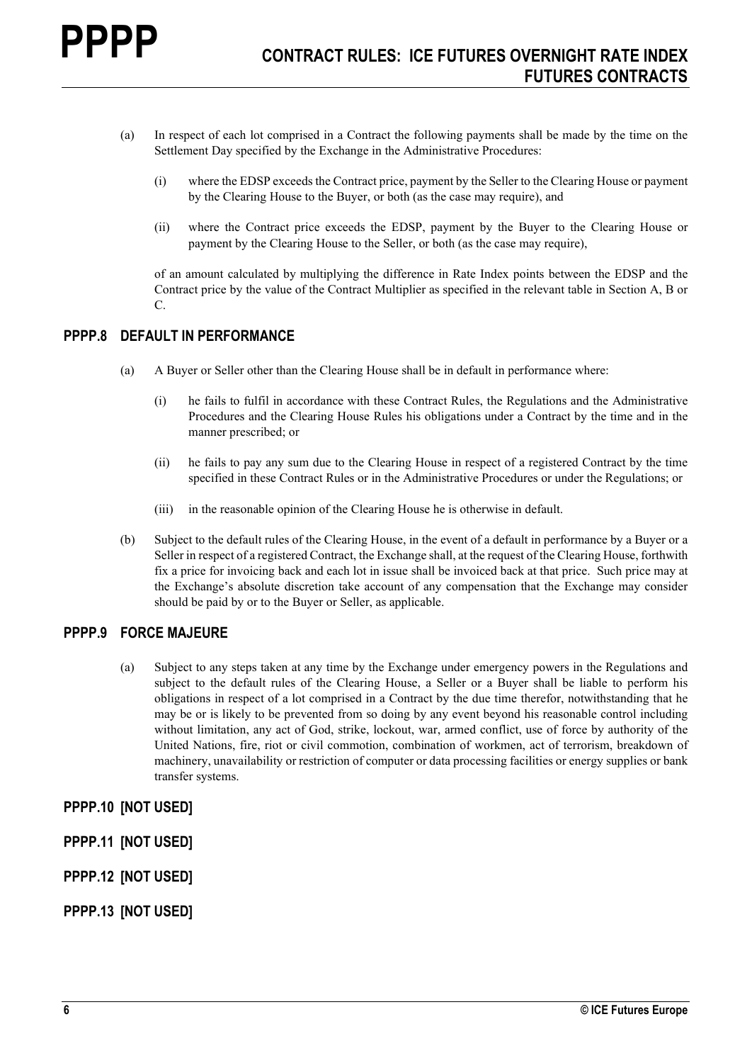- (a) In respect of each lot comprised in a Contract the following payments shall be made by the time on the Settlement Day specified by the Exchange in the Administrative Procedures:
	- (i) where the EDSP exceeds the Contract price, payment by the Seller to the Clearing House or payment by the Clearing House to the Buyer, or both (as the case may require), and
	- (ii) where the Contract price exceeds the EDSP, payment by the Buyer to the Clearing House or payment by the Clearing House to the Seller, or both (as the case may require),

of an amount calculated by multiplying the difference in Rate Index points between the EDSP and the Contract price by the value of the Contract Multiplier as specified in the relevant table in Section A, B or C.

# **PPPP.8 DEFAULT IN PERFORMANCE**

- (a) A Buyer or Seller other than the Clearing House shall be in default in performance where:
	- (i) he fails to fulfil in accordance with these Contract Rules, the Regulations and the Administrative Procedures and the Clearing House Rules his obligations under a Contract by the time and in the manner prescribed; or
	- (ii) he fails to pay any sum due to the Clearing House in respect of a registered Contract by the time specified in these Contract Rules or in the Administrative Procedures or under the Regulations; or
	- (iii) in the reasonable opinion of the Clearing House he is otherwise in default.
- (b) Subject to the default rules of the Clearing House, in the event of a default in performance by a Buyer or a Seller in respect of a registered Contract, the Exchange shall, at the request of the Clearing House, forthwith fix a price for invoicing back and each lot in issue shall be invoiced back at that price. Such price may at the Exchange's absolute discretion take account of any compensation that the Exchange may consider should be paid by or to the Buyer or Seller, as applicable.

# **PPPP.9 FORCE MAJEURE**

(a) Subject to any steps taken at any time by the Exchange under emergency powers in the Regulations and subject to the default rules of the Clearing House, a Seller or a Buyer shall be liable to perform his obligations in respect of a lot comprised in a Contract by the due time therefor, notwithstanding that he may be or is likely to be prevented from so doing by any event beyond his reasonable control including without limitation, any act of God, strike, lockout, war, armed conflict, use of force by authority of the United Nations, fire, riot or civil commotion, combination of workmen, act of terrorism, breakdown of machinery, unavailability or restriction of computer or data processing facilities or energy supplies or bank transfer systems.

# **PPPP.10 [NOT USED]**

- **PPPP.11 [NOT USED]**
- **PPPP.12 [NOT USED]**
- **PPPP.13 [NOT USED]**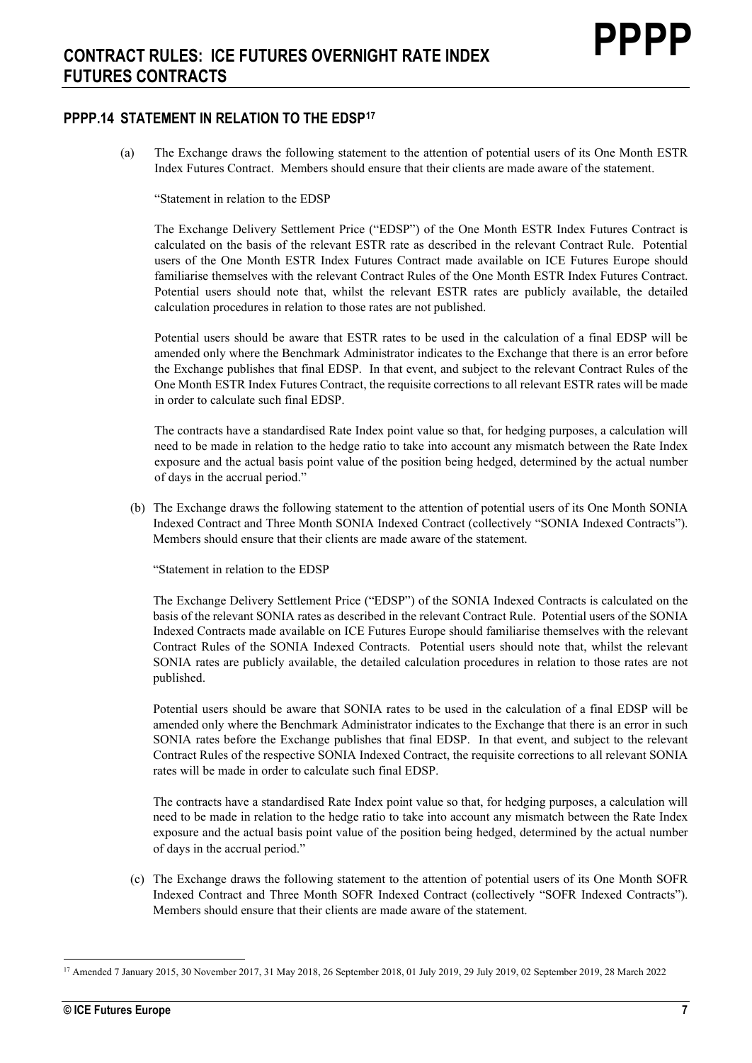# **PPPP.14 STATEMENT IN RELATION TO THE EDSP[17](#page-6-0)**

(a) The Exchange draws the following statement to the attention of potential users of its One Month ESTR Index Futures Contract. Members should ensure that their clients are made aware of the statement.

"Statement in relation to the EDSP

The Exchange Delivery Settlement Price ("EDSP") of the One Month ESTR Index Futures Contract is calculated on the basis of the relevant ESTR rate as described in the relevant Contract Rule. Potential users of the One Month ESTR Index Futures Contract made available on ICE Futures Europe should familiarise themselves with the relevant Contract Rules of the One Month ESTR Index Futures Contract. Potential users should note that, whilst the relevant ESTR rates are publicly available, the detailed calculation procedures in relation to those rates are not published.

Potential users should be aware that ESTR rates to be used in the calculation of a final EDSP will be amended only where the Benchmark Administrator indicates to the Exchange that there is an error before the Exchange publishes that final EDSP. In that event, and subject to the relevant Contract Rules of the One Month ESTR Index Futures Contract, the requisite corrections to all relevant ESTR rates will be made in order to calculate such final EDSP.

The contracts have a standardised Rate Index point value so that, for hedging purposes, a calculation will need to be made in relation to the hedge ratio to take into account any mismatch between the Rate Index exposure and the actual basis point value of the position being hedged, determined by the actual number of days in the accrual period."

(b) The Exchange draws the following statement to the attention of potential users of its One Month SONIA Indexed Contract and Three Month SONIA Indexed Contract (collectively "SONIA Indexed Contracts"). Members should ensure that their clients are made aware of the statement.

"Statement in relation to the EDSP

The Exchange Delivery Settlement Price ("EDSP") of the SONIA Indexed Contracts is calculated on the basis of the relevant SONIA rates as described in the relevant Contract Rule. Potential users of the SONIA Indexed Contracts made available on ICE Futures Europe should familiarise themselves with the relevant Contract Rules of the SONIA Indexed Contracts. Potential users should note that, whilst the relevant SONIA rates are publicly available, the detailed calculation procedures in relation to those rates are not published.

Potential users should be aware that SONIA rates to be used in the calculation of a final EDSP will be amended only where the Benchmark Administrator indicates to the Exchange that there is an error in such SONIA rates before the Exchange publishes that final EDSP. In that event, and subject to the relevant Contract Rules of the respective SONIA Indexed Contract, the requisite corrections to all relevant SONIA rates will be made in order to calculate such final EDSP.

The contracts have a standardised Rate Index point value so that, for hedging purposes, a calculation will need to be made in relation to the hedge ratio to take into account any mismatch between the Rate Index exposure and the actual basis point value of the position being hedged, determined by the actual number of days in the accrual period."

(c) The Exchange draws the following statement to the attention of potential users of its One Month SOFR Indexed Contract and Three Month SOFR Indexed Contract (collectively "SOFR Indexed Contracts"). Members should ensure that their clients are made aware of the statement.

<span id="page-6-0"></span><sup>17</sup> Amended 7 January 2015, 30 November 2017, 31 May 2018, 26 September 2018, 01 July 2019, 29 July 2019, 02 September 2019, 28 March 2022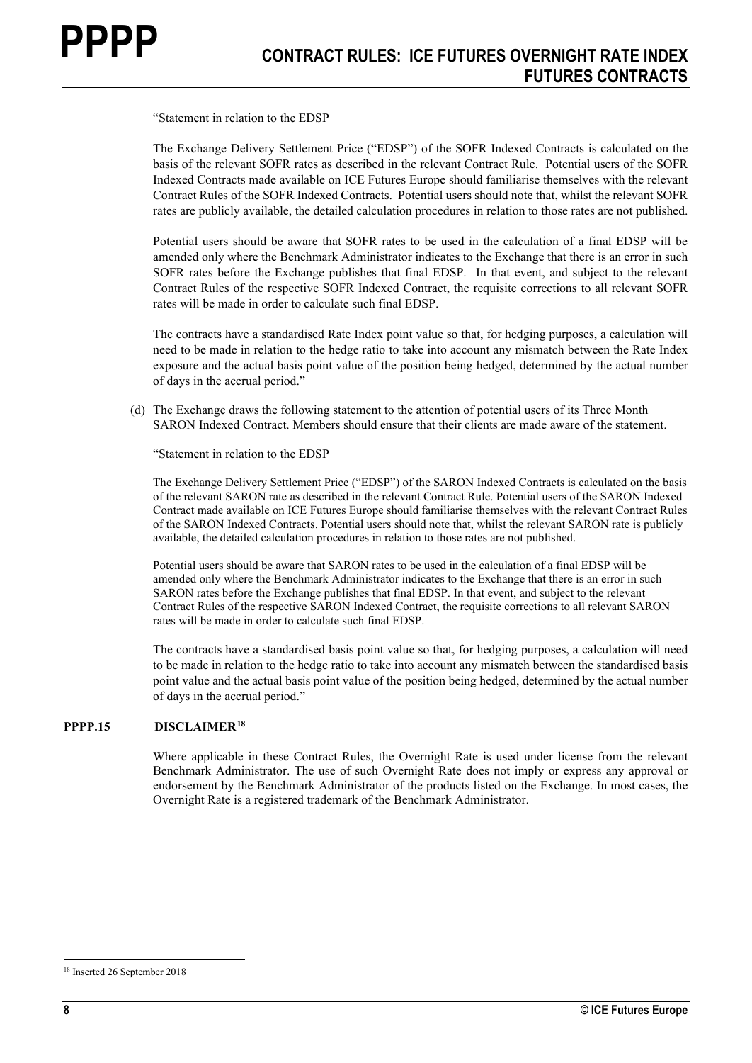"Statement in relation to the EDSP

The Exchange Delivery Settlement Price ("EDSP") of the SOFR Indexed Contracts is calculated on the basis of the relevant SOFR rates as described in the relevant Contract Rule. Potential users of the SOFR Indexed Contracts made available on ICE Futures Europe should familiarise themselves with the relevant Contract Rules of the SOFR Indexed Contracts. Potential users should note that, whilst the relevant SOFR rates are publicly available, the detailed calculation procedures in relation to those rates are not published.

Potential users should be aware that SOFR rates to be used in the calculation of a final EDSP will be amended only where the Benchmark Administrator indicates to the Exchange that there is an error in such SOFR rates before the Exchange publishes that final EDSP. In that event, and subject to the relevant Contract Rules of the respective SOFR Indexed Contract, the requisite corrections to all relevant SOFR rates will be made in order to calculate such final EDSP.

The contracts have a standardised Rate Index point value so that, for hedging purposes, a calculation will need to be made in relation to the hedge ratio to take into account any mismatch between the Rate Index exposure and the actual basis point value of the position being hedged, determined by the actual number of days in the accrual period."

(d) The Exchange draws the following statement to the attention of potential users of its Three Month SARON Indexed Contract. Members should ensure that their clients are made aware of the statement.

"Statement in relation to the EDSP

The Exchange Delivery Settlement Price ("EDSP") of the SARON Indexed Contracts is calculated on the basis of the relevant SARON rate as described in the relevant Contract Rule. Potential users of the SARON Indexed Contract made available on ICE Futures Europe should familiarise themselves with the relevant Contract Rules of the SARON Indexed Contracts. Potential users should note that, whilst the relevant SARON rate is publicly available, the detailed calculation procedures in relation to those rates are not published.

Potential users should be aware that SARON rates to be used in the calculation of a final EDSP will be amended only where the Benchmark Administrator indicates to the Exchange that there is an error in such SARON rates before the Exchange publishes that final EDSP. In that event, and subject to the relevant Contract Rules of the respective SARON Indexed Contract, the requisite corrections to all relevant SARON rates will be made in order to calculate such final EDSP.

The contracts have a standardised basis point value so that, for hedging purposes, a calculation will need to be made in relation to the hedge ratio to take into account any mismatch between the standardised basis point value and the actual basis point value of the position being hedged, determined by the actual number of days in the accrual period."

#### **PPPP.15 DISCLAIMER[18](#page-7-0)**

Where applicable in these Contract Rules, the Overnight Rate is used under license from the relevant Benchmark Administrator. The use of such Overnight Rate does not imply or express any approval or endorsement by the Benchmark Administrator of the products listed on the Exchange. In most cases, the Overnight Rate is a registered trademark of the Benchmark Administrator.

<span id="page-7-0"></span><sup>18</sup> Inserted 26 September 2018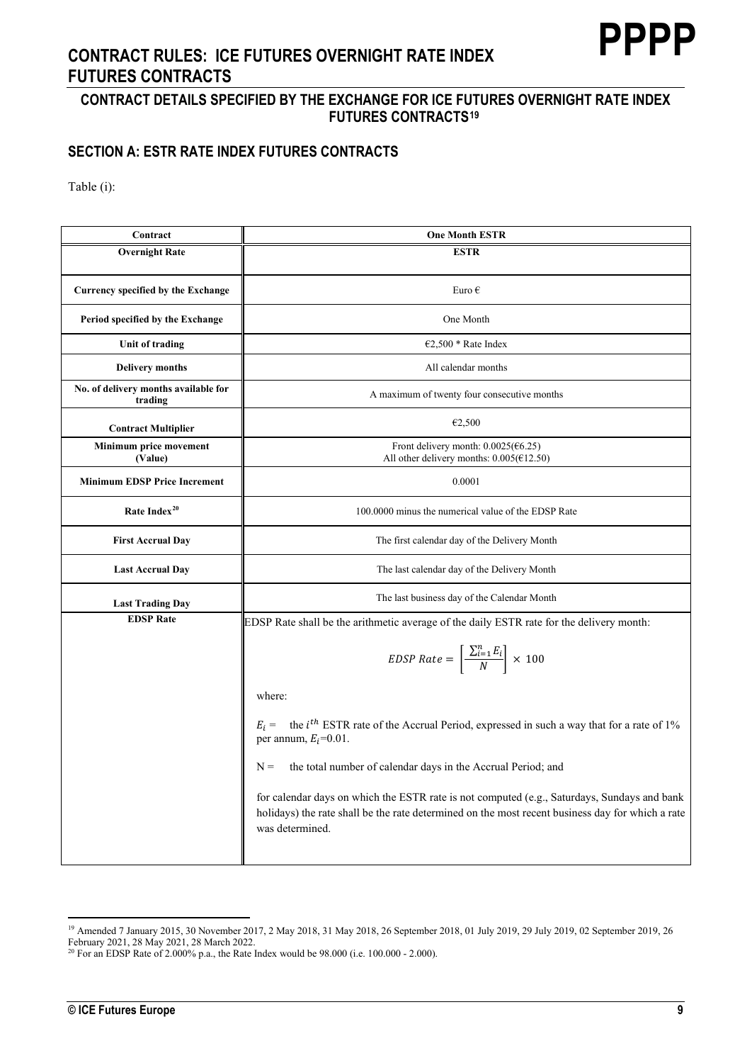# **PPPP**

# **CONTRACT RULES: ICE FUTURES OVERNIGHT RATE INDEX FUTURES CONTRACTS**

# **CONTRACT DETAILS SPECIFIED BY THE EXCHANGE FOR ICE FUTURES OVERNIGHT RATE INDEX FUTURES CONTRACTS[19](#page-8-0)**

# **SECTION A: ESTR RATE INDEX FUTURES CONTRACTS**

| Contract                                        | <b>One Month ESTR</b>                                                                                                                                                                                              |
|-------------------------------------------------|--------------------------------------------------------------------------------------------------------------------------------------------------------------------------------------------------------------------|
| <b>Overnight Rate</b>                           | <b>ESTR</b>                                                                                                                                                                                                        |
|                                                 |                                                                                                                                                                                                                    |
| <b>Currency specified by the Exchange</b>       | Euro $\epsilon$                                                                                                                                                                                                    |
| Period specified by the Exchange                | One Month                                                                                                                                                                                                          |
| Unit of trading                                 | €2,500 * Rate Index                                                                                                                                                                                                |
| <b>Delivery months</b>                          | All calendar months                                                                                                                                                                                                |
| No. of delivery months available for<br>trading | A maximum of twenty four consecutive months                                                                                                                                                                        |
| <b>Contract Multiplier</b>                      | €2,500                                                                                                                                                                                                             |
| Minimum price movement<br>(Value)               | Front delivery month: $0.0025$ ( $6.25$ )<br>All other delivery months: $0.005(612.50)$                                                                                                                            |
| <b>Minimum EDSP Price Increment</b>             | 0.0001                                                                                                                                                                                                             |
| Rate Index <sup>20</sup>                        | 100,0000 minus the numerical value of the EDSP Rate                                                                                                                                                                |
| <b>First Accrual Day</b>                        | The first calendar day of the Delivery Month                                                                                                                                                                       |
| <b>Last Accrual Day</b>                         | The last calendar day of the Delivery Month                                                                                                                                                                        |
| <b>Last Trading Day</b>                         | The last business day of the Calendar Month                                                                                                                                                                        |
| <b>EDSP</b> Rate                                | EDSP Rate shall be the arithmetic average of the daily ESTR rate for the delivery month:                                                                                                                           |
|                                                 | EDSP Rate = $\left[\frac{\sum_{i=1}^{n} E_i}{N}\right] \times 100$                                                                                                                                                 |
|                                                 | where:                                                                                                                                                                                                             |
|                                                 | $E_i$ = the <i>i</i> <sup>th</sup> ESTR rate of the Accrual Period, expressed in such a way that for a rate of 1%<br>per annum, $E_i$ =0.01.                                                                       |
|                                                 | the total number of calendar days in the Accrual Period; and<br>$N =$                                                                                                                                              |
|                                                 | for calendar days on which the ESTR rate is not computed (e.g., Saturdays, Sundays and bank<br>holidays) the rate shall be the rate determined on the most recent business day for which a rate<br>was determined. |
|                                                 |                                                                                                                                                                                                                    |

<span id="page-8-0"></span><sup>&</sup>lt;sup>19</sup> Amended 7 January 2015, 30 November 2017, 2 May 2018, 31 May 2018, 26 September 2018, 01 July 2019, 29 July 2019, 02 September 2019, 26 February 2021, 28 May 2021, 28 March 2022.<br><sup>20</sup> For an EDSP Rate of 2.000% p.a., the Rate Index would be 98.000 (i.e. 100.000 - 2.000).

<span id="page-8-1"></span>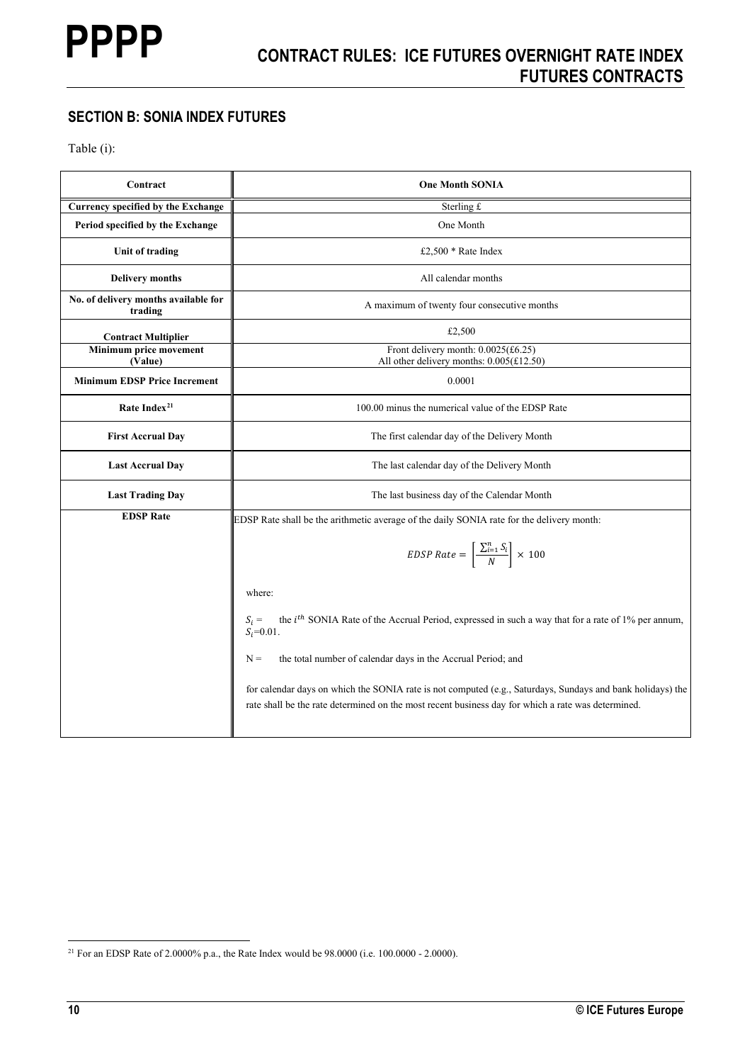# **SECTION B: SONIA INDEX FUTURES**

| Contract                                        | <b>One Month SONIA</b>                                                                                                                                                                                           |
|-------------------------------------------------|------------------------------------------------------------------------------------------------------------------------------------------------------------------------------------------------------------------|
| Currency specified by the Exchange              | Sterling £                                                                                                                                                                                                       |
| Period specified by the Exchange                | One Month                                                                                                                                                                                                        |
| Unit of trading                                 | £2,500 * Rate Index                                                                                                                                                                                              |
| <b>Delivery months</b>                          | All calendar months                                                                                                                                                                                              |
| No. of delivery months available for<br>trading | A maximum of twenty four consecutive months                                                                                                                                                                      |
| <b>Contract Multiplier</b>                      | £2,500                                                                                                                                                                                                           |
| Minimum price movement<br>(Value)               | Front delivery month: $0.0025$ (£6.25)<br>All other delivery months: $0.005$ (£12.50)                                                                                                                            |
| <b>Minimum EDSP Price Increment</b>             | 0.0001                                                                                                                                                                                                           |
| Rate Index <sup>21</sup>                        | 100.00 minus the numerical value of the EDSP Rate                                                                                                                                                                |
| <b>First Accrual Day</b>                        | The first calendar day of the Delivery Month                                                                                                                                                                     |
| <b>Last Accrual Day</b>                         | The last calendar day of the Delivery Month                                                                                                                                                                      |
| <b>Last Trading Day</b>                         | The last business day of the Calendar Month                                                                                                                                                                      |
| <b>EDSP</b> Rate                                | EDSP Rate shall be the arithmetic average of the daily SONIA rate for the delivery month:                                                                                                                        |
|                                                 | <i>EDSP Rate</i> = $\left[\frac{\sum_{i=1}^{n} S_i}{N}\right] \times 100$                                                                                                                                        |
|                                                 | where:                                                                                                                                                                                                           |
|                                                 | the <i>i</i> <sup>th</sup> SONIA Rate of the Accrual Period, expressed in such a way that for a rate of 1% per annum,<br>$S_i =$<br>$S_i = 0.01$ .                                                               |
|                                                 | $N =$<br>the total number of calendar days in the Accrual Period; and                                                                                                                                            |
|                                                 | for calendar days on which the SONIA rate is not computed (e.g., Saturdays, Sundays and bank holidays) the<br>rate shall be the rate determined on the most recent business day for which a rate was determined. |

<span id="page-9-0"></span><sup>&</sup>lt;sup>21</sup> For an EDSP Rate of 2.0000% p.a., the Rate Index would be 98.0000 (i.e. 100.0000 - 2.0000).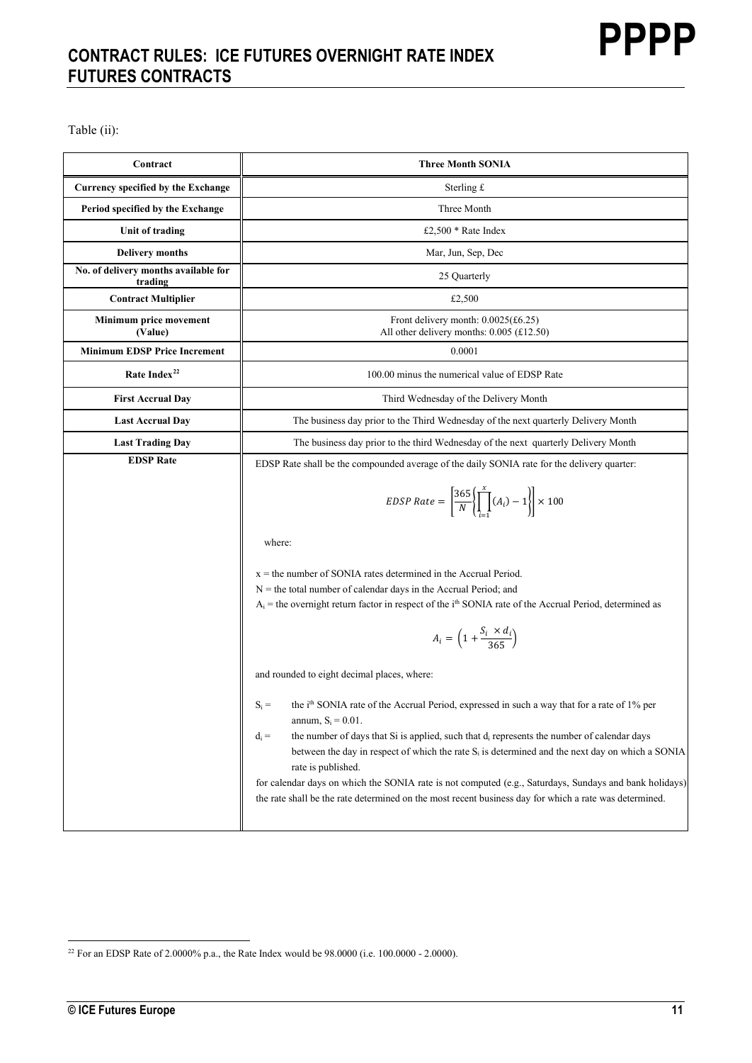# **CONTRACT RULES: ICE FUTURES OVERNIGHT RATE INDEX FUTURES CONTRACTS**

| Contract                                        | <b>Three Month SONIA</b>                                                                                                                                                                                                             |
|-------------------------------------------------|--------------------------------------------------------------------------------------------------------------------------------------------------------------------------------------------------------------------------------------|
| <b>Currency specified by the Exchange</b>       | Sterling $f$                                                                                                                                                                                                                         |
| Period specified by the Exchange                | Three Month                                                                                                                                                                                                                          |
| Unit of trading                                 | £2,500 * Rate Index                                                                                                                                                                                                                  |
| <b>Delivery months</b>                          | Mar, Jun, Sep, Dec                                                                                                                                                                                                                   |
| No. of delivery months available for<br>trading | 25 Quarterly                                                                                                                                                                                                                         |
| <b>Contract Multiplier</b>                      | £2,500                                                                                                                                                                                                                               |
| Minimum price movement<br>(Value)               | Front delivery month: $0.0025(\text{\pounds}6.25)$<br>All other delivery months: $0.005$ (£12.50)                                                                                                                                    |
| <b>Minimum EDSP Price Increment</b>             | 0.0001                                                                                                                                                                                                                               |
| Rate Index <sup>22</sup>                        | 100.00 minus the numerical value of EDSP Rate                                                                                                                                                                                        |
| <b>First Accrual Day</b>                        | Third Wednesday of the Delivery Month                                                                                                                                                                                                |
| <b>Last Accrual Day</b>                         | The business day prior to the Third Wednesday of the next quarterly Delivery Month                                                                                                                                                   |
| <b>Last Trading Day</b>                         | The business day prior to the third Wednesday of the next quarterly Delivery Month                                                                                                                                                   |
| <b>EDSP Rate</b>                                | EDSP Rate shall be the compounded average of the daily SONIA rate for the delivery quarter:                                                                                                                                          |
|                                                 | EDSP Rate = $\left[\frac{365}{N}\left\{\prod_{i=1}^{x}(A_i)-1\right\}\right] \times 100$                                                                                                                                             |
|                                                 | where:                                                                                                                                                                                                                               |
|                                                 | $x =$ the number of SONIA rates determined in the Accrual Period.                                                                                                                                                                    |
|                                                 | $N =$ the total number of calendar days in the Accrual Period; and<br>$A_i$ = the overnight return factor in respect of the $ith$ SONIA rate of the Accrual Period, determined as                                                    |
|                                                 |                                                                                                                                                                                                                                      |
|                                                 | $A_i = \left(1 + \frac{S_i \times d_i}{365}\right)$                                                                                                                                                                                  |
|                                                 | and rounded to eight decimal places, where:                                                                                                                                                                                          |
|                                                 | the i <sup>th</sup> SONIA rate of the Accrual Period, expressed in such a way that for a rate of 1% per<br>$S_i =$<br>annum, $S_i = 0.01$ .                                                                                          |
|                                                 | $d_i =$<br>the number of days that Si is applied, such that $d_i$ represents the number of calendar days<br>between the day in respect of which the rate $S_i$ is determined and the next day on which a SONIA<br>rate is published. |
|                                                 | for calendar days on which the SONIA rate is not computed (e.g., Saturdays, Sundays and bank holidays)<br>the rate shall be the rate determined on the most recent business day for which a rate was determined.                     |

<span id="page-10-0"></span><sup>&</sup>lt;sup>22</sup> For an EDSP Rate of 2.0000% p.a., the Rate Index would be 98.0000 (i.e. 100.0000 - 2.0000).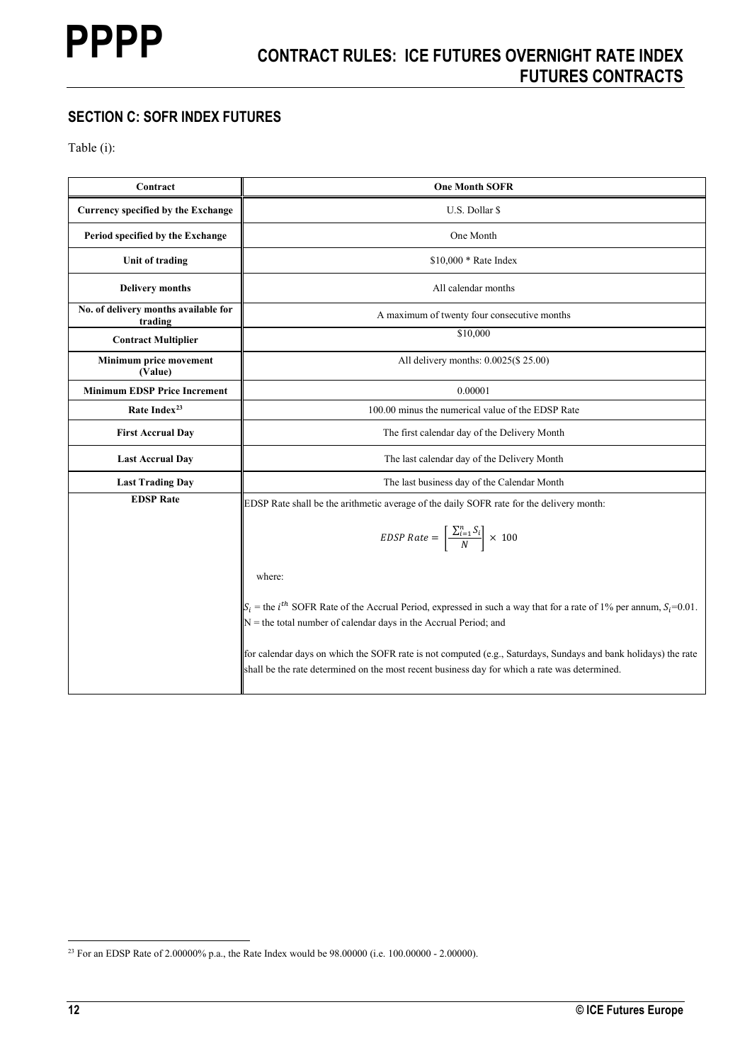# **SECTION C: SOFR INDEX FUTURES**

| Contract                                        | <b>One Month SOFR</b>                                                                                                                                                                                             |
|-------------------------------------------------|-------------------------------------------------------------------------------------------------------------------------------------------------------------------------------------------------------------------|
| Currency specified by the Exchange              | U.S. Dollar \$                                                                                                                                                                                                    |
| Period specified by the Exchange                | One Month                                                                                                                                                                                                         |
| Unit of trading                                 | \$10,000 * Rate Index                                                                                                                                                                                             |
| <b>Delivery months</b>                          | All calendar months                                                                                                                                                                                               |
| No. of delivery months available for<br>trading | A maximum of twenty four consecutive months                                                                                                                                                                       |
| <b>Contract Multiplier</b>                      | \$10,000                                                                                                                                                                                                          |
| Minimum price movement<br>(Value)               | All delivery months: 0.0025(\$ 25.00)                                                                                                                                                                             |
| <b>Minimum EDSP Price Increment</b>             | 0.00001                                                                                                                                                                                                           |
| Rate Index <sup>23</sup>                        | 100.00 minus the numerical value of the EDSP Rate                                                                                                                                                                 |
| <b>First Accrual Day</b>                        | The first calendar day of the Delivery Month                                                                                                                                                                      |
| <b>Last Accrual Day</b>                         | The last calendar day of the Delivery Month                                                                                                                                                                       |
| <b>Last Trading Day</b>                         | The last business day of the Calendar Month                                                                                                                                                                       |
| <b>EDSP Rate</b>                                | EDSP Rate shall be the arithmetic average of the daily SOFR rate for the delivery month:                                                                                                                          |
|                                                 | <i>EDSP Rate</i> = $\left[\frac{\sum_{i=1}^{n} S_i}{N}\right] \times 100$                                                                                                                                         |
|                                                 | where:                                                                                                                                                                                                            |
|                                                 | $\ S_i$ = the <i>i</i> <sup>th</sup> SOFR Rate of the Accrual Period, expressed in such a way that for a rate of 1% per annum, $S_i$ =0.01.<br>$N =$ the total number of calendar days in the Accrual Period; and |
|                                                 | for calendar days on which the SOFR rate is not computed (e.g., Saturdays, Sundays and bank holidays) the rate<br>shall be the rate determined on the most recent business day for which a rate was determined.   |

<span id="page-11-0"></span><sup>23</sup> For an EDSP Rate of 2.00000% p.a., the Rate Index would be 98.00000 (i.e. 100.00000 - 2.00000).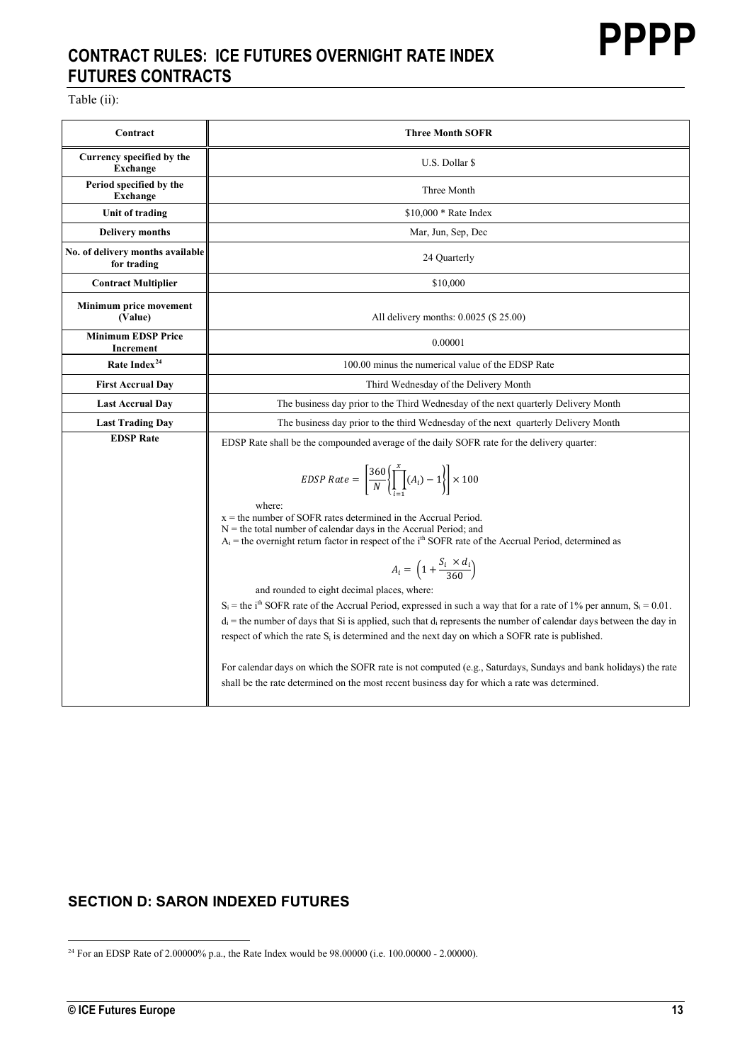# **CONTRACT RULES: ICE FUTURES OVERNIGHT RATE INDEX FUTURES CONTRACTS**

Table (ii):

| Contract                                        | <b>Three Month SOFR</b>                                                                                                                                                                                                                                                                                                                                                                                                                                                                                                                                                                                                                                                                                                                                                                                                                          |
|-------------------------------------------------|--------------------------------------------------------------------------------------------------------------------------------------------------------------------------------------------------------------------------------------------------------------------------------------------------------------------------------------------------------------------------------------------------------------------------------------------------------------------------------------------------------------------------------------------------------------------------------------------------------------------------------------------------------------------------------------------------------------------------------------------------------------------------------------------------------------------------------------------------|
| Currency specified by the<br><b>Exchange</b>    | U.S. Dollar \$                                                                                                                                                                                                                                                                                                                                                                                                                                                                                                                                                                                                                                                                                                                                                                                                                                   |
| Period specified by the<br><b>Exchange</b>      | Three Month                                                                                                                                                                                                                                                                                                                                                                                                                                                                                                                                                                                                                                                                                                                                                                                                                                      |
| Unit of trading                                 | $$10,000 * Rate Index$                                                                                                                                                                                                                                                                                                                                                                                                                                                                                                                                                                                                                                                                                                                                                                                                                           |
| <b>Delivery months</b>                          | Mar, Jun, Sep, Dec                                                                                                                                                                                                                                                                                                                                                                                                                                                                                                                                                                                                                                                                                                                                                                                                                               |
| No. of delivery months available<br>for trading | 24 Quarterly                                                                                                                                                                                                                                                                                                                                                                                                                                                                                                                                                                                                                                                                                                                                                                                                                                     |
| <b>Contract Multiplier</b>                      | \$10,000                                                                                                                                                                                                                                                                                                                                                                                                                                                                                                                                                                                                                                                                                                                                                                                                                                         |
| Minimum price movement<br>(Value)               | All delivery months: 0.0025 (\$ 25.00)                                                                                                                                                                                                                                                                                                                                                                                                                                                                                                                                                                                                                                                                                                                                                                                                           |
| <b>Minimum EDSP Price</b><br>Increment          | 0.00001                                                                                                                                                                                                                                                                                                                                                                                                                                                                                                                                                                                                                                                                                                                                                                                                                                          |
| Rate Index <sup>24</sup>                        | 100.00 minus the numerical value of the EDSP Rate                                                                                                                                                                                                                                                                                                                                                                                                                                                                                                                                                                                                                                                                                                                                                                                                |
| <b>First Accrual Day</b>                        | Third Wednesday of the Delivery Month                                                                                                                                                                                                                                                                                                                                                                                                                                                                                                                                                                                                                                                                                                                                                                                                            |
| <b>Last Accrual Dav</b>                         | The business day prior to the Third Wednesday of the next quarterly Delivery Month                                                                                                                                                                                                                                                                                                                                                                                                                                                                                                                                                                                                                                                                                                                                                               |
| <b>Last Trading Day</b>                         | The business day prior to the third Wednesday of the next quarterly Delivery Month                                                                                                                                                                                                                                                                                                                                                                                                                                                                                                                                                                                                                                                                                                                                                               |
| <b>EDSP Rate</b>                                | EDSP Rate shall be the compounded average of the daily SOFR rate for the delivery quarter:                                                                                                                                                                                                                                                                                                                                                                                                                                                                                                                                                                                                                                                                                                                                                       |
|                                                 | EDSP Rate = $\left[\frac{360}{N}\left(\prod_{i=1}^{x}(A_i)-1\right)\right] \times 100$<br>where:<br>$x =$ the number of SOFR rates determined in the Accrual Period.<br>$N =$ the total number of calendar days in the Accrual Period; and<br>$A_i$ = the overnight return factor in respect of the i <sup>th</sup> SOFR rate of the Accrual Period, determined as<br>$A_i = \left(1 + \frac{S_i \times d_i}{360}\right)$<br>and rounded to eight decimal places, where:<br>$S_i$ = the i <sup>th</sup> SOFR rate of the Accrual Period, expressed in such a way that for a rate of 1% per annum, $S_i$ = 0.01.<br>$d_i$ = the number of days that Si is applied, such that $d_i$ represents the number of calendar days between the day in<br>respect of which the rate $S_i$ is determined and the next day on which a SOFR rate is published. |
|                                                 | For calendar days on which the SOFR rate is not computed (e.g., Saturdays, Sundays and bank holidays) the rate<br>shall be the rate determined on the most recent business day for which a rate was determined.                                                                                                                                                                                                                                                                                                                                                                                                                                                                                                                                                                                                                                  |

# **SECTION D: SARON INDEXED FUTURES**

<span id="page-12-0"></span><sup>24</sup> For an EDSP Rate of 2.00000% p.a., the Rate Index would be 98.00000 (i.e. 100.00000 - 2.00000).